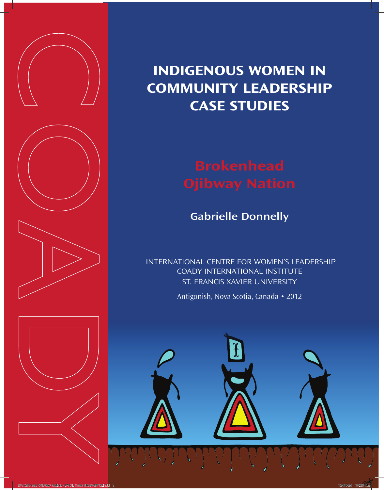

# **Indigenous Women in Community Leadership case studies**

**Gabrielle Donnelly**

 International Centre for Women's Leadership Coady International Institute ST. Francis Xavier University

Antigonish, Nova Scotia, Canada • 2012

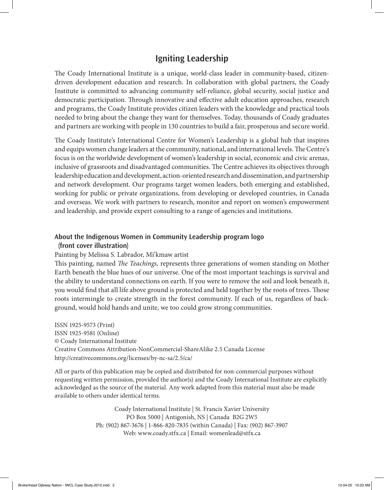#### **Igniting Leadership**

The Coady International Institute is a unique, world-class leader in community-based, citizendriven development education and research. In collaboration with global partners, the Coady Institute is committed to advancing community self-reliance, global security, social justice and democratic participation. Through innovative and effective adult education approaches, research and programs, the Coady Institute provides citizen leaders with the knowledge and practical tools needed to bring about the change they want for themselves. Today, thousands of Coady graduates and partners are working with people in 130 countries to build a fair, prosperous and secure world.

The Coady Institute's International Centre for Women's Leadership is a global hub that inspires and equips women change leaders at the community, national, and international levels. The Centre's focus is on the worldwide development of women's leadership in social, economic and civic arenas, inclusive of grassroots and disadvantaged communities. The Centre achieves its objectives through leadership education and development, action-oriented research and dissemination, and partnership and network development. Our programs target women leaders, both emerging and established, working for public or private organizations, from developing or developed countries, in Canada and overseas. We work with partners to research, monitor and report on women's empowerment and leadership, and provide expert consulting to a range of agencies and institutions.

#### **About the Indigenous Women in Community Leadership program logo (front cover illustration)**

#### Painting by Melissa S. Labrador, Mi'kmaw artist

This painting, named *The Teachings,* represents three generations of women standing on Mother Earth beneath the blue hues of our universe. One of the most important teachings is survival and the ability to understand connections on earth. If you were to remove the soil and look beneath it, you would find that all life above ground is protected and held together by the roots of trees. Those roots intermingle to create strength in the forest community. If each of us, regardless of background, would hold hands and unite, we too could grow strong communities.

ISSN 1925-9573 (Print) ISSN 1925-9581 (Online) © Coady International Institute Creative Commons Attribution-NonCommercial-ShareAlike 2.5 Canada License http://creativecommons.org/licenses/by-nc-sa/2.5/ca/

All or parts of this publication may be copied and distributed for non-commercial purposes without requesting written permission, provided the author(s) and the Coady International Institute are explicitly acknowledged as the source of the material. Any work adapted from this material must also be made available to others under identical terms.

> Coady International Institute | St. Francis Xavier University PO Box 5000 | Antigonish, NS | Canada B2G 2W5 Ph: (902) 867-3676 | 1-866-820-7835 (within Canada) | Fax: (902) 867-3907 Web: www.coady.stfx.ca | Email: womenlead@stfx.ca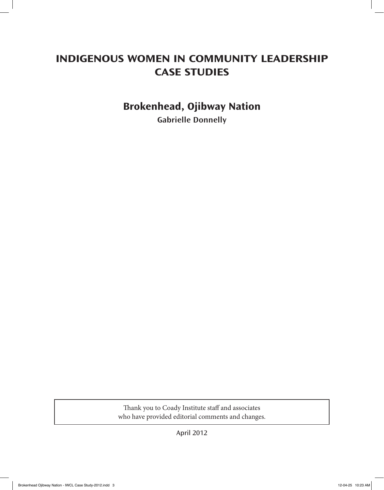# **Indigenous Women in Community Leadership CASE STUDIES**

## **Brokenhead, Ojibway Nation**

**Gabrielle Donnelly**

Thank you to Coady Institute staff and associates who have provided editorial comments and changes.

April 2012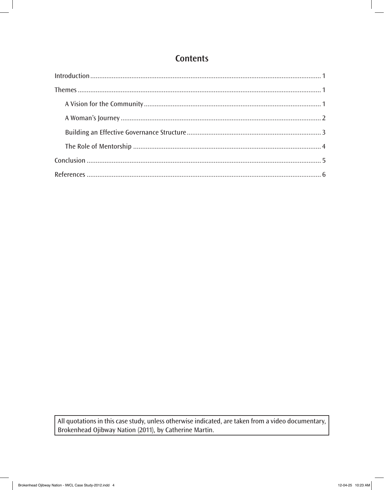### **Contents**

All quotations in this case study, unless otherwise indicated, are taken from a video documentary, Brokenhead Ojibway Nation (2011), by Catherine Martin.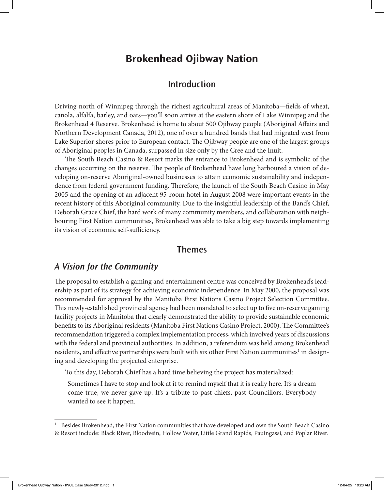#### **Brokenhead Ojibway Nation**

#### **Introduction**

Driving north of Winnipeg through the richest agricultural areas of Manitoba—fields of wheat, canola, alfalfa, barley, and oats—you'll soon arrive at the eastern shore of Lake Winnipeg and the Brokenhead 4 Reserve. Brokenhead is home to about 500 Ojibway people (Aboriginal Affairs and Northern Development Canada, 2012), one of over a hundred bands that had migrated west from Lake Superior shores prior to European contact. The Ojibway people are one of the largest groups of Aboriginal peoples in Canada, surpassed in size only by the Cree and the Inuit.

The South Beach Casino & Resort marks the entrance to Brokenhead and is symbolic of the changes occurring on the reserve. The people of Brokenhead have long harboured a vision of developing on-reserve Aboriginal-owned businesses to attain economic sustainability and independence from federal government funding. Therefore, the launch of the South Beach Casino in May 2005 and the opening of an adjacent 95-room hotel in August 2008 were important events in the recent history of this Aboriginal community. Due to the insightful leadership of the Band's Chief, Deborah Grace Chief, the hard work of many community members, and collaboration with neighbouring First Nation communities, Brokenhead was able to take a big step towards implementing its vision of economic self-sufficiency.

#### **Themes**

#### *A Vision for the Community*

The proposal to establish a gaming and entertainment centre was conceived by Brokenhead's leadership as part of its strategy for achieving economic independence. In May 2000, the proposal was recommended for approval by the Manitoba First Nations Casino Project Selection Committee. This newly-established provincial agency had been mandated to select up to five on-reserve gaming facility projects in Manitoba that clearly demonstrated the ability to provide sustainable economic benefits to its Aboriginal residents (Manitoba First Nations Casino Project, 2000). The Committee's recommendation triggered a complex implementation process, which involved years of discussions with the federal and provincial authorities. In addition, a referendum was held among Brokenhead residents, and effective partnerships were built with six other First Nation communities $^{\rm l}$  in designing and developing the projected enterprise.

To this day, Deborah Chief has a hard time believing the project has materialized:

Sometimes I have to stop and look at it to remind myself that it is really here. It's a dream come true, we never gave up. It's a tribute to past chiefs, past Councillors. Everybody wanted to see it happen.

<sup>&</sup>lt;sup>1</sup> Besides Brokenhead, the First Nation communities that have developed and own the South Beach Casino & Resort include: Black River, Bloodvein, Hollow Water, Little Grand Rapids, Pauingassi, and Poplar River.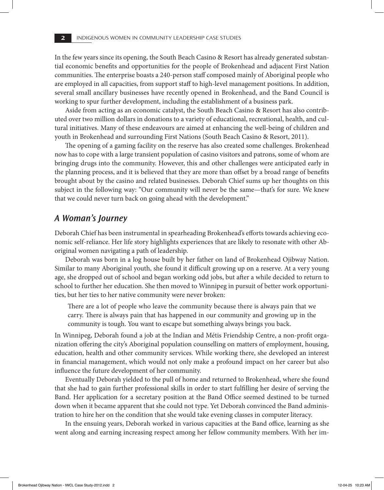In the few years since its opening, the South Beach Casino & Resort has already generated substantial economic benefits and opportunities for the people of Brokenhead and adjacent First Nation communities. The enterprise boasts a 240-person staff composed mainly of Aboriginal people who are employed in all capacities, from support staff to high-level management positions. In addition, several small ancillary businesses have recently opened in Brokenhead, and the Band Council is working to spur further development, including the establishment of a business park.

Aside from acting as an economic catalyst, the South Beach Casino & Resort has also contributed over two million dollars in donations to a variety of educational, recreational, health, and cultural initiatives. Many of these endeavours are aimed at enhancing the well-being of children and youth in Brokenhead and surrounding First Nations (South Beach Casino & Resort, 2011).

The opening of a gaming facility on the reserve has also created some challenges. Brokenhead now has to cope with a large transient population of casino visitors and patrons, some of whom are bringing drugs into the community. However, this and other challenges were anticipated early in the planning process, and it is believed that they are more than offset by a broad range of benefits brought about by the casino and related businesses. Deborah Chief sums up her thoughts on this subject in the following way: "Our community will never be the same—that's for sure. We knew that we could never turn back on going ahead with the development."

#### *A Woman's Journey*

Deborah Chief has been instrumental in spearheading Brokenhead's efforts towards achieving economic self-reliance. Her life story highlights experiences that are likely to resonate with other Aboriginal women navigating a path of leadership.

Deborah was born in a log house built by her father on land of Brokenhead Ojibway Nation. Similar to many Aboriginal youth, she found it difficult growing up on a reserve. At a very young age, she dropped out of school and began working odd jobs, but after a while decided to return to school to further her education. She then moved to Winnipeg in pursuit of better work opportunities, but her ties to her native community were never broken:

There are a lot of people who leave the community because there is always pain that we carry. There is always pain that has happened in our community and growing up in the community is tough. You want to escape but something always brings you back.

In Winnipeg, Deborah found a job at the Indian and Métis Friendship Centre, a non-profit organization offering the city's Aboriginal population counselling on matters of employment, housing, education, health and other community services. While working there, she developed an interest in financial management, which would not only make a profound impact on her career but also influence the future development of her community.

Eventually Deborah yielded to the pull of home and returned to Brokenhead, where she found that she had to gain further professional skills in order to start fulfilling her desire of serving the Band. Her application for a secretary position at the Band Office seemed destined to be turned down when it became apparent that she could not type. Yet Deborah convinced the Band administration to hire her on the condition that she would take evening classes in computer literacy.

In the ensuing years, Deborah worked in various capacities at the Band office, learning as she went along and earning increasing respect among her fellow community members. With her im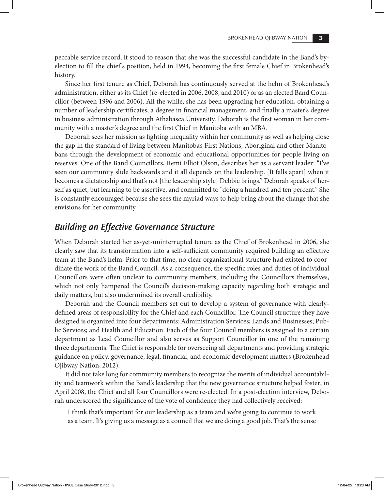peccable service record, it stood to reason that she was the successful candidate in the Band's byelection to fill the chief 's position, held in 1994, becoming the first female Chief in Brokenhead's history.

Since her first tenure as Chief, Deborah has continuously served at the helm of Brokenhead's administration, either as its Chief (re-elected in 2006, 2008, and 2010) or as an elected Band Councillor (between 1996 and 2006). All the while, she has been upgrading her education, obtaining a number of leadership certificates, a degree in financial management, and finally a master's degree in business administration through Athabasca University. Deborah is the first woman in her community with a master's degree and the first Chief in Manitoba with an MBA.

Deborah sees her mission as fighting inequality within her community as well as helping close the gap in the standard of living between Manitoba's First Nations, Aboriginal and other Manitobans through the development of economic and educational opportunities for people living on reserves. One of the Band Councillors, Remi Elliot Olson, describes her as a servant leader: "I've seen our community slide backwards and it all depends on the leadership. [It falls apart] when it becomes a dictatorship and that's not [the leadership style] Debbie brings." Deborah speaks of herself as quiet, but learning to be assertive, and committed to "doing a hundred and ten percent." She is constantly encouraged because she sees the myriad ways to help bring about the change that she envisions for her community.

#### *Building an Effective Governance Structure*

When Deborah started her as-yet-uninterrupted tenure as the Chief of Brokenhead in 2006, she clearly saw that its transformation into a self-sufficient community required building an effective team at the Band's helm. Prior to that time, no clear organizational structure had existed to coordinate the work of the Band Council. As a consequence, the specific roles and duties of individual Councillors were often unclear to community members, including the Councillors themselves, which not only hampered the Council's decision-making capacity regarding both strategic and daily matters, but also undermined its overall credibility.

Deborah and the Council members set out to develop a system of governance with clearlydefined areas of responsibility for the Chief and each Councillor. The Council structure they have designed is organized into four departments: Administration Services; Lands and Businesses; Public Services; and Health and Education. Each of the four Council members is assigned to a certain department as Lead Councillor and also serves as Support Councillor in one of the remaining three departments. The Chief is responsible for overseeing all departments and providing strategic guidance on policy, governance, legal, financial, and economic development matters (Brokenhead Ojibway Nation, 2012).

It did not take long for community members to recognize the merits of individual accountability and teamwork within the Band's leadership that the new governance structure helped foster; in April 2008, the Chief and all four Councillors were re-elected. In a post-election interview, Deborah underscored the significance of the vote of confidence they had collectively received:

I think that's important for our leadership as a team and we're going to continue to work as a team. It's giving us a message as a council that we are doing a good job. That's the sense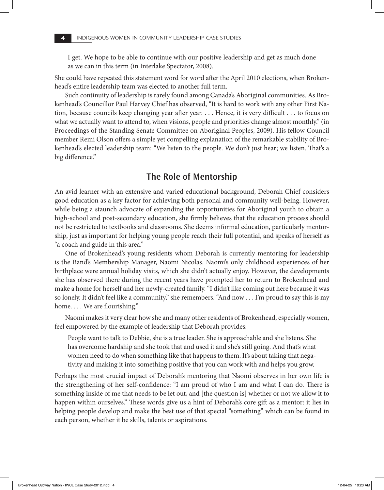I get. We hope to be able to continue with our positive leadership and get as much done as we can in this term (in Interlake Spectator, 2008).

She could have repeated this statement word for word after the April 2010 elections, when Brokenhead's entire leadership team was elected to another full term.

Such continuity of leadership is rarely found among Canada's Aboriginal communities. As Brokenhead's Councillor Paul Harvey Chief has observed, "It is hard to work with any other First Nation, because councils keep changing year after year. . . . Hence, it is very difficult . . . to focus on what we actually want to attend to, when visions, people and priorities change almost monthly." (in Proceedings of the Standing Senate Committee on Aboriginal Peoples, 2009). His fellow Council member Remi Olson offers a simple yet compelling explanation of the remarkable stability of Brokenhead's elected leadership team: "We listen to the people. We don't just hear; we listen. That's a big difference."

#### **The Role of Mentorship**

An avid learner with an extensive and varied educational background, Deborah Chief considers good education as a key factor for achieving both personal and community well-being. However, while being a staunch advocate of expanding the opportunities for Aboriginal youth to obtain a high-school and post-secondary education, she firmly believes that the education process should not be restricted to textbooks and classrooms. She deems informal education, particularly mentorship, just as important for helping young people reach their full potential, and speaks of herself as "a coach and guide in this area."

One of Brokenhead's young residents whom Deborah is currently mentoring for leadership is the Band's Membership Manager, Naomi Nicolas. Naomi's only childhood experiences of her birthplace were annual holiday visits, which she didn't actually enjoy. However, the developments she has observed there during the recent years have prompted her to return to Brokenhead and make a home for herself and her newly-created family. "I didn't like coming out here because it was so lonely. It didn't feel like a community," she remembers. "And now . . . I'm proud to say this is my home.... We are flourishing."

Naomi makes it very clear how she and many other residents of Brokenhead, especially women, feel empowered by the example of leadership that Deborah provides:

People want to talk to Debbie, she is a true leader. She is approachable and she listens. She has overcome hardship and she took that and used it and she's still going. And that's what women need to do when something like that happens to them. It's about taking that negativity and making it into something positive that you can work with and helps you grow.

Perhaps the most crucial impact of Deborah's mentoring that Naomi observes in her own life is the strengthening of her self-confidence: "I am proud of who I am and what I can do. There is something inside of me that needs to be let out, and [the question is] whether or not we allow it to happen within ourselves." These words give us a hint of Deborah's core gift as a mentor: it lies in helping people develop and make the best use of that special "something" which can be found in each person, whether it be skills, talents or aspirations.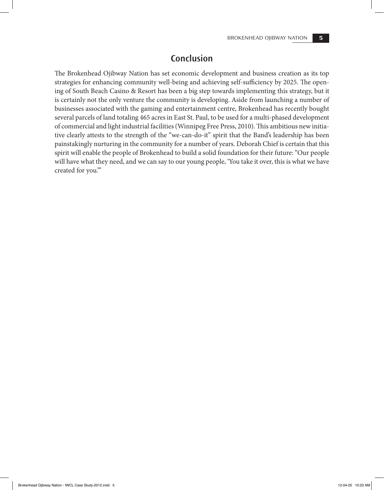#### **Conclusion**

The Brokenhead Ojibway Nation has set economic development and business creation as its top strategies for enhancing community well-being and achieving self-sufficiency by 2025. The opening of South Beach Casino & Resort has been a big step towards implementing this strategy, but it is certainly not the only venture the community is developing. Aside from launching a number of businesses associated with the gaming and entertainment centre, Brokenhead has recently bought several parcels of land totaling 465 acres in East St. Paul, to be used for a multi-phased development of commercial and light industrial facilities (Winnipeg Free Press, 2010). This ambitious new initiative clearly attests to the strength of the "we-can-do-it" spirit that the Band's leadership has been painstakingly nurturing in the community for a number of years. Deborah Chief is certain that this spirit will enable the people of Brokenhead to build a solid foundation for their future: "Our people will have what they need, and we can say to our young people, 'You take it over, this is what we have created for you.'"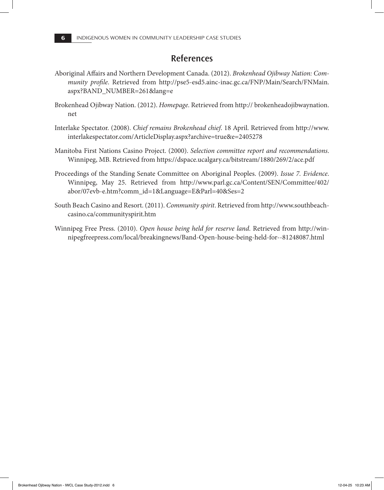#### **References**

- Aboriginal Affairs and Northern Development Canada. (2012). *Brokenhead Ojibway Nation: Community profile*. Retrieved from http://pse5-esd5.ainc-inac.gc.ca/FNP/Main/Search/FNMain. aspx?BAND\_NUMBER=261&lang=e
- Brokenhead Ojibway Nation. (2012). *Homepage*. Retrieved from http:// brokenheadojibwaynation. net
- Interlake Spectator. (2008). *Chief remains Brokenhead chief*. 18 April. Retrieved from http://www. interlakespectator.com/ArticleDisplay.aspx?archive=true&e=2405278
- Manitoba First Nations Casino Project. (2000). *Selection committee report and recommendations*. Winnipeg, MB. Retrieved from https://dspace.ucalgary.ca/bitstream/1880/269/2/ace.pdf
- Proceedings of the Standing Senate Committee on Aboriginal Peoples. (2009). *Issue 7. Evidence*. Winnipeg, May 25. Retrieved from http://www.parl.gc.ca/Content/SEN/Committee/402/ abor/07evb-e.htm?comm\_id=1&Language=E&Parl=40&Ses=2
- South Beach Casino and Resort. (2011). *Community spirit*. Retrieved from http://www.southbeachcasino.ca/communityspirit.htm
- Winnipeg Free Press. (2010). *Open house being held for reserve land*. Retrieved from http://winnipegfreepress.com/local/breakingnews/Band-Open-house-being-held-for--81248087.html